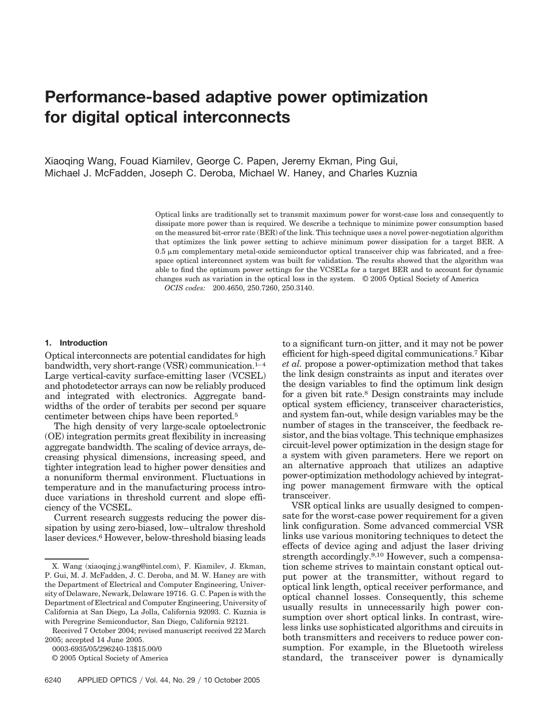# **Performance-based adaptive power optimization for digital optical interconnects**

Xiaoqing Wang, Fouad Kiamilev, George C. Papen, Jeremy Ekman, Ping Gui, Michael J. McFadden, Joseph C. Deroba, Michael W. Haney, and Charles Kuznia

> Optical links are traditionally set to transmit maximum power for worst-case loss and consequently to dissipate more power than is required. We describe a technique to minimize power consumption based on the measured bit-error rate (BER) of the link. This technique uses a novel power-negotiation algorithm that optimizes the link power setting to achieve minimum power dissipation for a target BER. A  $0.5 \mu$ m complementary metal-oxide semiconductor optical transceiver chip was fabricated, and a freespace optical interconnect system was built for validation. The results showed that the algorithm was able to find the optimum power settings for the VCSELs for a target BER and to account for dynamic changes such as variation in the optical loss in the system. © 2005 Optical Society of America *OCIS codes:* 200.4650, 250.7260, 250.3140.

#### **1. Introduction**

Optical interconnects are potential candidates for high bandwidth, very short-range (VSR) communication.<sup>1–4</sup> Large vertical-cavity surface-emitting laser (VCSEL) and photodetector arrays can now be reliably produced and integrated with electronics. Aggregate bandwidths of the order of terabits per second per square centimeter between chips have been reported.5

The high density of very large-scale optoelectronic (OE) integration permits great flexibility in increasing aggregate bandwidth. The scaling of device arrays, decreasing physical dimensions, increasing speed, and tighter integration lead to higher power densities and a nonuniform thermal environment. Fluctuations in temperature and in the manufacturing process introduce variations in threshold current and slope efficiency of the VCSEL.

Current research suggests reducing the power dissipation by using zero-biased, low–ultralow threshold laser devices.6 However, below-threshold biasing leads

0003-6935/05/296240-13\$15.00/0

© 2005 Optical Society of America

to a significant turn-on jitter, and it may not be power efficient for high-speed digital communications.7 Kibar *et al.* propose a power-optimization method that takes the link design constraints as input and iterates over the design variables to find the optimum link design for a given bit rate.8 Design constraints may include optical system efficiency, transceiver characteristics, and system fan-out, while design variables may be the number of stages in the transceiver, the feedback resistor, and the bias voltage. This technique emphasizes circuit-level power optimization in the design stage for a system with given parameters. Here we report on an alternative approach that utilizes an adaptive power-optimization methodology achieved by integrating power management firmware with the optical transceiver.

VSR optical links are usually designed to compensate for the worst-case power requirement for a given link configuration. Some advanced commercial VSR links use various monitoring techniques to detect the effects of device aging and adjust the laser driving strength accordingly.<sup>9,10</sup> However, such a compensation scheme strives to maintain constant optical output power at the transmitter, without regard to optical link length, optical receiver performance, and optical channel losses. Consequently, this scheme usually results in unnecessarily high power consumption over short optical links. In contrast, wireless links use sophisticated algorithms and circuits in both transmitters and receivers to reduce power consumption. For example, in the Bluetooth wireless standard, the transceiver power is dynamically

X. Wang (xiaoqing.j.wang@intel.com), F. Kiamilev, J. Ekman, P. Gui, M. J. McFadden, J. C. Deroba, and M. W. Haney are with the Department of Electrical and Computer Engineering, University of Delaware, Newark, Delaware 19716. G. C. Papen is with the Department of Electrical and Computer Engineering, University of California at San Diego, La Jolla, California 92093. C. Kuznia is with Peregrine Semiconductor, San Diego, California 92121.

Received 7 October 2004; revised manuscript received 22 March 2005; accepted 14 June 2005.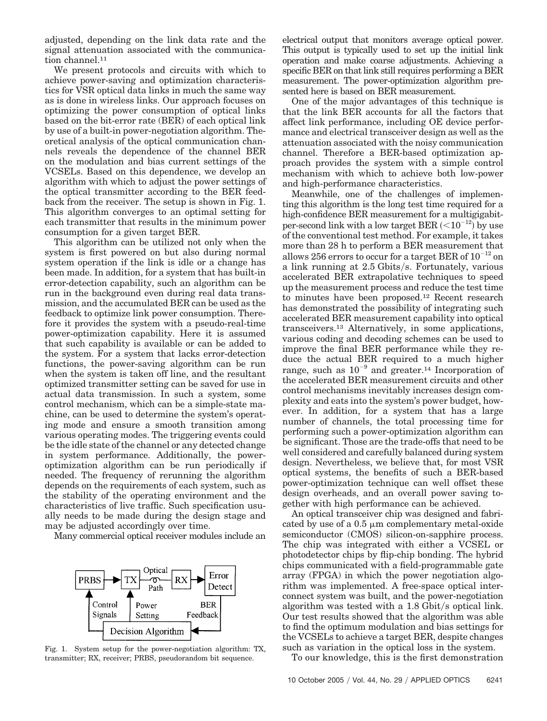adjusted, depending on the link data rate and the signal attenuation associated with the communication channel.<sup>11</sup>

We present protocols and circuits with which to achieve power-saving and optimization characteristics for VSR optical data links in much the same way as is done in wireless links. Our approach focuses on optimizing the power consumption of optical links based on the bit-error rate (BER) of each optical link by use of a built-in power-negotiation algorithm. Theoretical analysis of the optical communication channels reveals the dependence of the channel BER on the modulation and bias current settings of the VCSELs. Based on this dependence, we develop an algorithm with which to adjust the power settings of the optical transmitter according to the BER feedback from the receiver. The setup is shown in Fig. 1. This algorithm converges to an optimal setting for each transmitter that results in the minimum power consumption for a given target BER.

This algorithm can be utilized not only when the system is first powered on but also during normal system operation if the link is idle or a change has been made. In addition, for a system that has built-in error-detection capability, such an algorithm can be run in the background even during real data transmission, and the accumulated BER can be used as the feedback to optimize link power consumption. Therefore it provides the system with a pseudo-real-time power-optimization capability. Here it is assumed that such capability is available or can be added to the system. For a system that lacks error-detection functions, the power-saving algorithm can be run when the system is taken off line, and the resultant optimized transmitter setting can be saved for use in actual data transmission. In such a system, some control mechanism, which can be a simple-state machine, can be used to determine the system's operating mode and ensure a smooth transition among various operating modes. The triggering events could be the idle state of the channel or any detected change in system performance. Additionally, the poweroptimization algorithm can be run periodically if needed. The frequency of rerunning the algorithm depends on the requirements of each system, such as the stability of the operating environment and the characteristics of live traffic. Such specification usually needs to be made during the design stage and may be adjusted accordingly over time.

Many commercial optical receiver modules include an



Fig. 1. System setup for the power-negotiation algorithm: TX, transmitter; RX, receiver; PRBS, pseudorandom bit sequence.

electrical output that monitors average optical power. This output is typically used to set up the initial link operation and make coarse adjustments. Achieving a specific BER on that link still requires performing a BER measurement. The power-optimization algorithm presented here is based on BER measurement.

One of the major advantages of this technique is that the link BER accounts for all the factors that affect link performance, including OE device performance and electrical transceiver design as well as the attenuation associated with the noisy communication channel. Therefore a BER-based optimization approach provides the system with a simple control mechanism with which to achieve both low-power and high-performance characteristics.

Meanwhile, one of the challenges of implementing this algorithm is the long test time required for a high-confidence BER measurement for a multigigabitper-second link with a low target BER  $(<10^{-12}$ ) by use of the conventional test method. For example, it takes more than 28 h to perform a BER measurement that allows 256 errors to occur for a target BER of  $10^{-12}$  on a link running at 2.5 Gbits/s. Fortunately, various accelerated BER extrapolative techniques to speed up the measurement process and reduce the test time to minutes have been proposed.12 Recent research has demonstrated the possibility of integrating such accelerated BER measurement capability into optical transceivers.13 Alternatively, in some applications, various coding and decoding schemes can be used to improve the final BER performance while they reduce the actual BER required to a much higher range, such as  $10^{-9}$  and greater.<sup>14</sup> Incorporation of the accelerated BER measurement circuits and other control mechanisms inevitably increases design complexity and eats into the system's power budget, however. In addition, for a system that has a large number of channels, the total processing time for performing such a power-optimization algorithm can be significant. Those are the trade-offs that need to be well considered and carefully balanced during system design. Nevertheless, we believe that, for most VSR optical systems, the benefits of such a BER-based power-optimization technique can well offset these design overheads, and an overall power saving together with high performance can be achieved.

An optical transceiver chip was designed and fabricated by use of a  $0.5 \mu m$  complementary metal-oxide semiconductor (CMOS) silicon-on-sapphire process. The chip was integrated with either a VCSEL or photodetector chips by flip-chip bonding. The hybrid chips communicated with a field-programmable gate array (FPGA) in which the power negotiation algorithm was implemented. A free-space optical interconnect system was built, and the power-negotiation algorithm was tested with a  $1.8$  Gbit/s optical link. Our test results showed that the algorithm was able to find the optimum modulation and bias settings for the VCSELs to achieve a target BER, despite changes such as variation in the optical loss in the system.

To our knowledge, this is the first demonstration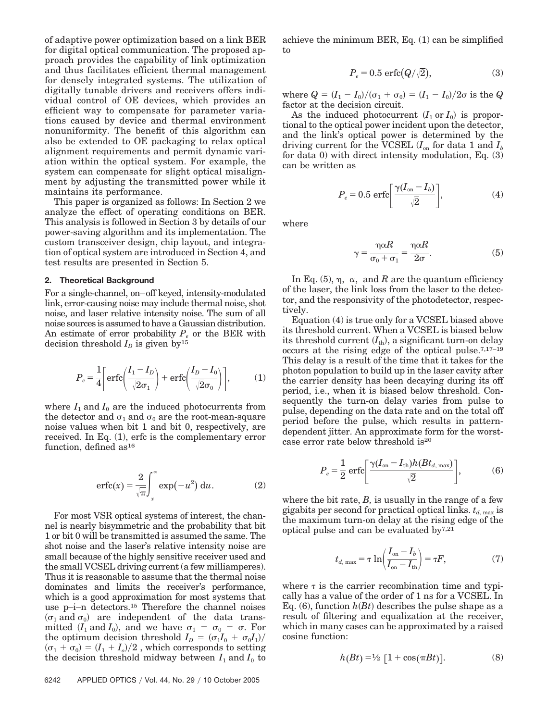of adaptive power optimization based on a link BER for digital optical communication. The proposed approach provides the capability of link optimization and thus facilitates efficient thermal management for densely integrated systems. The utilization of digitally tunable drivers and receivers offers individual control of OE devices, which provides an efficient way to compensate for parameter variations caused by device and thermal environment nonuniformity. The benefit of this algorithm can also be extended to OE packaging to relax optical alignment requirements and permit dynamic variation within the optical system. For example, the system can compensate for slight optical misalignment by adjusting the transmitted power while it maintains its performance.

This paper is organized as follows: In Section 2 we analyze the effect of operating conditions on BER. This analysis is followed in Section 3 by details of our power-saving algorithm and its implementation. The custom transceiver design, chip layout, and integration of optical system are introduced in Section 4, and test results are presented in Section 5.

#### **2. Theoretical Background**

For a single-channel, on–off keyed, intensity-modulated link, error-causing noise may include thermal noise, shot noise, and laser relative intensity noise. The sum of all noise sources is assumed to have a Gaussian distribution. An estimate of error probability  $P_e$  or the BER with decision threshold  $I_D$  is given by<sup>15</sup>

$$
P_e = \frac{1}{4} \left[ \text{erfc} \left( \frac{I_1 - I_D}{\sqrt{2} \sigma_1} \right) + \text{erfc} \left( \frac{I_D - I_0}{\sqrt{2} \sigma_0} \right) \right],\tag{1}
$$

where  $I_1$  and  $I_0$  are the induced photocurrents from the detector and  $\sigma_1$  and  $\sigma_0$  are the root-mean-square noise values when bit 1 and bit 0, respectively, are received. In Eq. (1), erfc is the complementary error function, defined as<sup>16</sup>

$$
\operatorname{erfc}(x) = \frac{2}{\sqrt{\pi}} \int_{x}^{\infty} \exp(-u^2) \, \mathrm{d}u. \tag{2}
$$

For most VSR optical systems of interest, the channel is nearly bisymmetric and the probability that bit 1 or bit 0 will be transmitted is assumed the same. The shot noise and the laser's relative intensity noise are small because of the highly sensitive receiver used and the small VCSEL driving current (a few milliamperes). Thus it is reasonable to assume that the thermal noise dominates and limits the receiver's performance, which is a good approximation for most systems that use p–i–n detectors.15 Therefore the channel noises  $(\sigma_1$  and  $\sigma_0$ ) are independent of the data transmitted  $(I_1 \text{ and } I_0)$ , and we have  $\sigma_1 = \sigma_0 = \sigma$ . For the optimum decision threshold  $I_D = (\sigma_1 I_0 + \sigma_0 I_1)/$  $(\sigma_1 + \sigma_0) = (I_1 + I_0)/2$ , which corresponds to setting the decision threshold midway between  $I_1$  and  $I_0$  to

achieve the minimum BER, Eq. (1) can be simplified to

$$
P_e = 0.5 \text{ erfc}(Q/\sqrt{2}),\tag{3}
$$

where  $Q = (I_1 - I_0)/(\sigma_1 + \sigma_0) = (I_1 - I_0)/2\sigma$  is the  $Q$ factor at the decision circuit.

As the induced photocurrent  $(I_1 \text{ or } I_0)$  is proportional to the optical power incident upon the detector, and the link's optical power is determined by the driving current for the VCSEL  $(I_{on}$  for data 1 and  $I_{b}$ for data 0) with direct intensity modulation, Eq. (3) can be written as

$$
P_e = 0.5 \text{ erfc}\bigg[\frac{\gamma(I_{\text{on}} - I_b)}{\sqrt{2}}\bigg],\tag{4}
$$

where

$$
\gamma = \frac{\eta \alpha R}{\sigma_0 + \sigma_1} = \frac{\eta \alpha R}{2\sigma}.
$$
 (5)

In Eq.  $(5)$ ,  $\eta$ ,  $\alpha$ , and *R* are the quantum efficiency of the laser, the link loss from the laser to the detector, and the responsivity of the photodetector, respectively.

Equation (4) is true only for a VCSEL biased above its threshold current. When a VCSEL is biased below its threshold current  $(I_{\text{th}})$ , a significant turn-on delay occurs at the rising edge of the optical pulse.7,17–19 This delay is a result of the time that it takes for the photon population to build up in the laser cavity after the carrier density has been decaying during its off period, i.e., when it is biased below threshold. Consequently the turn-on delay varies from pulse to pulse, depending on the data rate and on the total off period before the pulse, which results in patterndependent jitter. An approximate form for the worstcase error rate below threshold is20

$$
P_e = \frac{1}{2} \operatorname{erfc} \left[ \frac{\gamma (I_{\text{on}} - I_{\text{th}}) h (B t_{d,\text{max}})}{\sqrt{2}} \right],\tag{6}
$$

where the bit rate, *B,* is usually in the range of a few gigabits per second for practical optical links.  $t_{d, max}$  is the maximum turn-on delay at the rising edge of the optical pulse and can be evaluated by7,21

$$
t_{d, \max} = \tau \ln \left( \frac{I_{\text{on}} - I_b}{I_{\text{on}} - I_{\text{th}}} \right) = \tau F, \tag{7}
$$

where  $\tau$  is the carrier recombination time and typically has a value of the order of 1 ns for a VCSEL. In Eq.  $(6)$ , function  $h(Bt)$  describes the pulse shape as a result of filtering and equalization at the receiver, which in many cases can be approximated by a raised cosine function:

$$
h(Bt) = \frac{1}{2} \left[ 1 + \cos(\pi Bt) \right]. \tag{8}
$$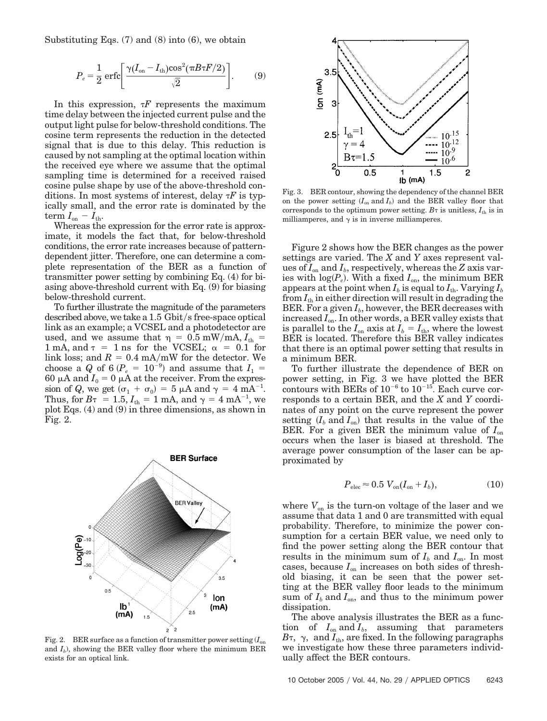Substituting Eqs. (7) and (8) into (6), we obtain

$$
P_e = \frac{1}{2} \operatorname{erfc} \left[ \frac{\gamma (I_{\text{on}} - I_{\text{th}}) \cos^2(\pi B \tau F/2)}{\sqrt{2}} \right]. \tag{9}
$$

In this expression,  $\tau F$  represents the maximum time delay between the injected current pulse and the output light pulse for below-threshold conditions. The cosine term represents the reduction in the detected signal that is due to this delay. This reduction is caused by not sampling at the optimal location within the received eye where we assume that the optimal sampling time is determined for a received raised cosine pulse shape by use of the above-threshold conditions. In most systems of interest, delay *F* is typically small, and the error rate is dominated by the term  $I_{on} - I_{th}$ .

Whereas the expression for the error rate is approximate, it models the fact that, for below-threshold conditions, the error rate increases because of patterndependent jitter. Therefore, one can determine a complete representation of the BER as a function of transmitter power setting by combining Eq. (4) for biasing above-threshold current with Eq. (9) for biasing below-threshold current.

To further illustrate the magnitude of the parameters described above, we take a  $1.5$  Gbit/s free-space optical link as an example; a VCSEL and a photodetector are used, and we assume that  $\eta = 0.5$  mW/mA,  $I_{\text{th}} =$ 1 mA, and  $\tau = 1$  ns for the VCSEL;  $\alpha = 0.1$  for link loss; and  $R = 0.4$  mA/mW for the detector. We choose a *Q* of 6 ( $P_e$  = 10<sup>-9</sup>) and assume that  $I_1$  = 60  $\mu$ A and  $I_0 = 0$   $\mu$ A at the receiver. From the expression of Q, we get  $(\sigma_1 + \sigma_0) = 5 \mu A$  and  $\gamma = 4 \mu A^{-1}$ . Thus, for  $B\tau = 1.5, I_{\text{th}} = 1 \text{ mA}$ , and  $\gamma = 4 \text{ mA}^{-1}$ , we plot Eqs. (4) and (9) in three dimensions, as shown in Fig. 2.



Fig. 2. BER surface as a function of transmitter power setting  $(I_{on})$ and  $I<sub>b</sub>$ ), showing the BER valley floor where the minimum BER exists for an optical link.



Fig. 3. BER contour, showing the dependency of the channel BER on the power setting  $(I_{on}$  and  $I_b$ ) and the BER valley floor that corresponds to the optimum power setting.  $B\tau$  is unitless,  $I_{\text{th}}$  is in milliamperes, and  $\gamma$  is in inverse milliamperes.

Figure 2 shows how the BER changes as the power settings are varied. The *X* and *Y* axes represent values of  $I_{\text{on}}$  and  $I_{b}$ , respectively, whereas the *Z* axis varies with  $log(P_e)$ . With a fixed  $I_{on}$ , the minimum BER appears at the point when  $I_b$  is equal to  $I_{th}$ . Varying  $I_b$ from  $I_{th}$  in either direction will result in degrading the BER. For a given  $I_b$ , however, the BER decreases with increased *I*on. In other words, a BER valley exists that is parallel to the  $I_{\text{on}}$  axis at  $I_b = I_{\text{th}}$ , where the lowest BER is located. Therefore this BER valley indicates that there is an optimal power setting that results in a minimum BER.

To further illustrate the dependence of BER on power setting, in Fig. 3 we have plotted the BER contours with BERs of  $10^{-6}$  to  $10^{-15}$ . Each curve corresponds to a certain BER, and the *X* and *Y* coordinates of any point on the curve represent the power setting  $(I_b \text{ and } I_{on})$  that results in the value of the BER. For a given BER the minimum value of  $I_{on}$ occurs when the laser is biased at threshold. The average power consumption of the laser can be approximated by

$$
P_{\text{elec}} \approx 0.5 \ V_{\text{on}} (I_{\text{on}} + I_b), \tag{10}
$$

where  $V_{on}$  is the turn-on voltage of the laser and we assume that data 1 and 0 are transmitted with equal probability. Therefore, to minimize the power consumption for a certain BER value, we need only to find the power setting along the BER contour that results in the minimum sum of  $I_b$  and  $I_{on}$ . In most cases, because *I*on increases on both sides of threshold biasing, it can be seen that the power setting at the BER valley floor leads to the minimum sum of  $I_b$  and  $I_{on}$ , and thus to the minimum power dissipation.

The above analysis illustrates the BER as a function of  $I_{\text{on}}$  and  $I_b$ , assuming that parameters  $B$ τ,  $\gamma$ , and  $I_{\text{th}}$ , are fixed. In the following paragraphs we investigate how these three parameters individually affect the BER contours.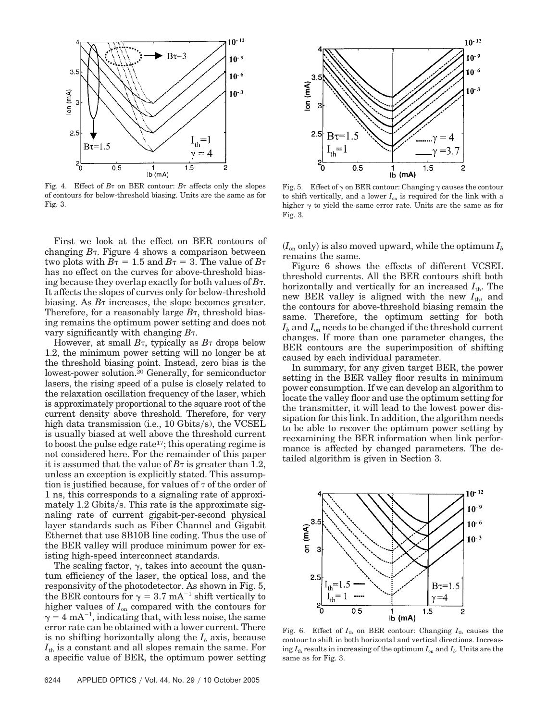

Fig. 4. Effect of  $B_7$  on BER contour:  $B_7$  affects only the slopes of contours for below-threshold biasing. Units are the same as for Fig. 3.

First we look at the effect on BER contours of changing *B*. Figure 4 shows a comparison between two plots with  $B\tau = 1.5$  and  $B\tau = 3$ . The value of  $B\tau$ has no effect on the curves for above-threshold biasing because they overlap exactly for both values of  $B_{\tau}$ . It affects the slopes of curves only for below-threshold biasing. As  $B<sub>\tau</sub>$  increases, the slope becomes greater. Therefore, for a reasonably large  $B_{\tau}$ , threshold biasing remains the optimum power setting and does not vary significantly with changing *B*.

However, at small  $B_{\tau}$ , typically as  $B_{\tau}$  drops below 1.2, the minimum power setting will no longer be at the threshold biasing point. Instead, zero bias is the lowest-power solution.20 Generally, for semiconductor lasers, the rising speed of a pulse is closely related to the relaxation oscillation frequency of the laser, which is approximately proportional to the square root of the current density above threshold. Therefore, for very high data transmission (i.e., 10 Gbits/s), the VCSEL is usually biased at well above the threshold current to boost the pulse edge rate17; this operating regime is not considered here. For the remainder of this paper it is assumed that the value of  $B\tau$  is greater than 1.2, unless an exception is explicitly stated. This assumption is justified because, for values of  $\tau$  of the order of 1 ns, this corresponds to a signaling rate of approximately  $1.2$  Gbits/s. This rate is the approximate signaling rate of current gigabit-per-second physical layer standards such as Fiber Channel and Gigabit Ethernet that use 8B10B line coding. Thus the use of the BER valley will produce minimum power for existing high-speed interconnect standards.

The scaling factor,  $\gamma$ , takes into account the quantum efficiency of the laser, the optical loss, and the responsivity of the photodetector. As shown in Fig. 5, the BER contours for  $\gamma = 3.7 \text{ mA}^{-1}$  shift vertically to higher values of  $I_{on}$  compared with the contours for  $\gamma = 4 \text{ mA}^{-1}$ , indicating that, with less noise, the same error rate can be obtained with a lower current. There is no shifting horizontally along the  $I<sub>b</sub>$  axis, because  $I_{\text{th}}$  is a constant and all slopes remain the same. For a specific value of BER, the optimum power setting



Fig. 5. Effect of  $\gamma$  on BER contour: Changing  $\gamma$  causes the contour to shift vertically, and a lower  $I_{on}$  is required for the link with a higher  $\gamma$  to yield the same error rate. Units are the same as for Fig. 3.

 $(I_{on}$  only) is also moved upward, while the optimum  $I_b$ remains the same.

Figure 6 shows the effects of different VCSEL threshold currents. All the BER contours shift both horizontally and vertically for an increased  $I_{th}$ . The new BER valley is aligned with the new  $I_{th}$ , and the contours for above-threshold biasing remain the same. Therefore, the optimum setting for both  $I_b$  and  $I_{\text{on}}$  needs to be changed if the threshold current changes. If more than one parameter changes, the BER contours are the superimposition of shifting caused by each individual parameter.

In summary, for any given target BER, the power setting in the BER valley floor results in minimum power consumption. If we can develop an algorithm to locate the valley floor and use the optimum setting for the transmitter, it will lead to the lowest power dissipation for this link. In addition, the algorithm needs to be able to recover the optimum power setting by reexamining the BER information when link performance is affected by changed parameters. The detailed algorithm is given in Section 3.



Fig. 6. Effect of  $I_{\text{th}}$  on BER contour: Changing  $I_{\text{th}}$  causes the contour to shift in both horizontal and vertical directions. Increasing  $I_{th}$  results in increasing of the optimum  $I_{on}$  and  $I_{b}$ . Units are the same as for Fig. 3.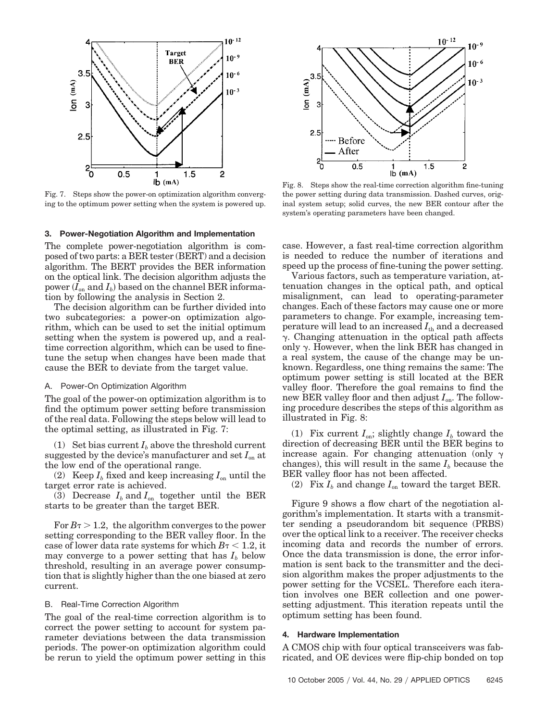

Fig. 7. Steps show the power-on optimization algorithm converging to the optimum power setting when the system is powered up.

#### **3. Power-Negotiation Algorithm and Implementation**

The complete power-negotiation algorithm is composed of two parts: a BER tester (BERT) and a decision algorithm. The BERT provides the BER information on the optical link. The decision algorithm adjusts the power  $(I_{on}$  and  $I_b$ ) based on the channel BER information by following the analysis in Section 2.

The decision algorithm can be further divided into two subcategories: a power-on optimization algorithm, which can be used to set the initial optimum setting when the system is powered up, and a realtime correction algorithm, which can be used to finetune the setup when changes have been made that cause the BER to deviate from the target value.

#### A. Power-On Optimization Algorithm

The goal of the power-on optimization algorithm is to find the optimum power setting before transmission of the real data. Following the steps below will lead to the optimal setting, as illustrated in Fig. 7:

(1) Set bias current  $I_b$  above the threshold current suggested by the device's manufacturer and set *I*on at the low end of the operational range.

(2) Keep  $I_b$  fixed and keep increasing  $I_{on}$  until the target error rate is achieved.

(3) Decrease  $I_b$  and  $I_{on}$  together until the BER starts to be greater than the target BER.

For  $B\tau > 1.2$ , the algorithm converges to the power setting corresponding to the BER valley floor. In the case of lower data rate systems for which  $B<sub>\tau</sub> < 1.2$ , it may converge to a power setting that has  $I<sub>b</sub>$  below threshold, resulting in an average power consumption that is slightly higher than the one biased at zero current.

#### B. Real-Time Correction Algorithm

The goal of the real-time correction algorithm is to correct the power setting to account for system parameter deviations between the data transmission periods. The power-on optimization algorithm could be rerun to yield the optimum power setting in this



Fig. 8. Steps show the real-time correction algorithm fine-tuning the power setting during data transmission. Dashed curves, original system setup; solid curves, the new BER contour after the system's operating parameters have been changed.

case. However, a fast real-time correction algorithm is needed to reduce the number of iterations and speed up the process of fine-tuning the power setting.

Various factors, such as temperature variation, attenuation changes in the optical path, and optical misalignment, can lead to operating-parameter changes. Each of these factors may cause one or more parameters to change. For example, increasing temperature will lead to an increased  $I_{th}$  and a decreased  $\gamma$ . Changing attenuation in the optical path affects only  $\gamma$ . However, when the link BER has changed in a real system, the cause of the change may be unknown. Regardless, one thing remains the same: The optimum power setting is still located at the BER valley floor. Therefore the goal remains to find the new BER valley floor and then adjust  $I_{on}$ . The following procedure describes the steps of this algorithm as illustrated in Fig. 8:

(1) Fix current  $I_{\text{on}}$ ; slightly change  $I_b$  toward the direction of decreasing BER until the BER begins to increase again. For changing attenuation (only  $\gamma$ changes), this will result in the same  $I<sub>b</sub>$  because the BER valley floor has not been affected.

(2) Fix  $I_b$  and change  $I_{on}$  toward the target BER.

Figure 9 shows a flow chart of the negotiation algorithm's implementation. It starts with a transmitter sending a pseudorandom bit sequence (PRBS) over the optical link to a receiver. The receiver checks incoming data and records the number of errors. Once the data transmission is done, the error information is sent back to the transmitter and the decision algorithm makes the proper adjustments to the power setting for the VCSEL. Therefore each iteration involves one BER collection and one powersetting adjustment. This iteration repeats until the optimum setting has been found.

#### **4. Hardware Implementation**

A CMOS chip with four optical transceivers was fabricated, and OE devices were flip-chip bonded on top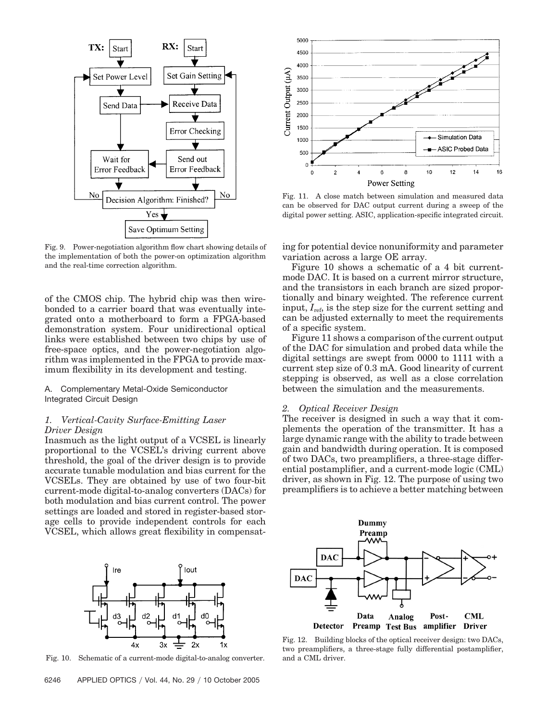

Fig. 9. Power-negotiation algorithm flow chart showing details of the implementation of both the power-on optimization algorithm and the real-time correction algorithm.

of the CMOS chip. The hybrid chip was then wirebonded to a carrier board that was eventually integrated onto a motherboard to form a FPGA-based demonstration system. Four unidirectional optical links were established between two chips by use of free-space optics, and the power-negotiation algorithm was implemented in the FPGA to provide maximum flexibility in its development and testing.

# A. Complementary Metal-Oxide Semiconductor Integrated Circuit Design

## *1. Vertical-Cavity Surface-Emitting Laser Driver Design*

Inasmuch as the light output of a VCSEL is linearly proportional to the VCSEL's driving current above threshold, the goal of the driver design is to provide accurate tunable modulation and bias current for the VCSELs. They are obtained by use of two four-bit current-mode digital-to-analog converters (DACs) for both modulation and bias current control. The power settings are loaded and stored in register-based storage cells to provide independent controls for each VCSEL, which allows great flexibility in compensat-



Fig. 10. Schematic of a current-mode digital-to-analog converter.



Fig. 11. A close match between simulation and measured data can be observed for DAC output current during a sweep of the digital power setting. ASIC, application-specific integrated circuit.

ing for potential device nonuniformity and parameter variation across a large OE array.

Figure 10 shows a schematic of a 4 bit currentmode DAC. It is based on a current mirror structure, and the transistors in each branch are sized proportionally and binary weighted. The reference current input, *I*ref, is the step size for the current setting and can be adjusted externally to meet the requirements of a specific system.

Figure 11 shows a comparison of the current output of the DAC for simulation and probed data while the digital settings are swept from 0000 to 1111 with a current step size of 0.3 mA. Good linearity of current stepping is observed, as well as a close correlation between the simulation and the measurements.

# *2. Optical Receiver Design*

The receiver is designed in such a way that it complements the operation of the transmitter. It has a large dynamic range with the ability to trade between gain and bandwidth during operation. It is composed of two DACs, two preamplifiers, a three-stage differential postamplifier, and a current-mode logic (CML) driver, as shown in Fig. 12. The purpose of using two preamplifiers is to achieve a better matching between



Fig. 12. Building blocks of the optical receiver design: two DACs, two preamplifiers, a three-stage fully differential postamplifier, and a CML driver.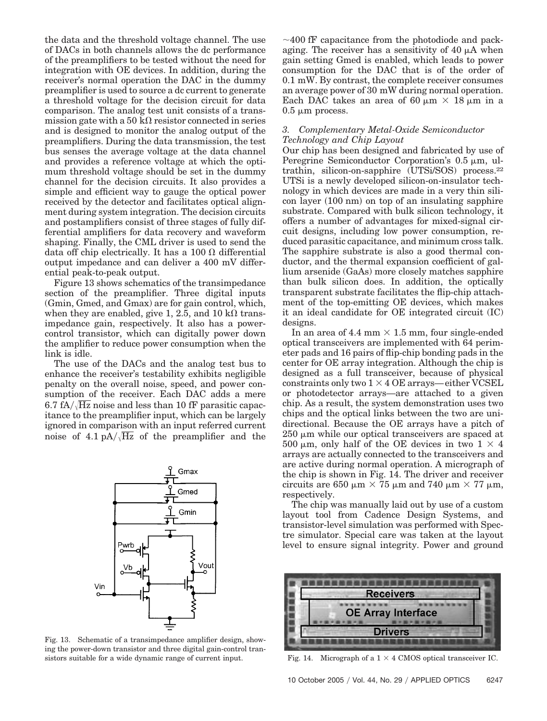the data and the threshold voltage channel. The use of DACs in both channels allows the dc performance of the preamplifiers to be tested without the need for integration with OE devices. In addition, during the receiver's normal operation the DAC in the dummy preamplifier is used to source a dc current to generate a threshold voltage for the decision circuit for data comparison. The analog test unit consists of a transmission gate with a 50  $\overline{k}\Omega$  resistor connected in series and is designed to monitor the analog output of the preamplifiers. During the data transmission, the test bus senses the average voltage at the data channel and provides a reference voltage at which the optimum threshold voltage should be set in the dummy channel for the decision circuits. It also provides a simple and efficient way to gauge the optical power received by the detector and facilitates optical alignment during system integration. The decision circuits and postamplifiers consist of three stages of fully differential amplifiers for data recovery and waveform shaping. Finally, the CML driver is used to send the data off chip electrically. It has a 100  $\Omega$  differential output impedance and can deliver a 400 mV differential peak-to-peak output.

Figure 13 shows schematics of the transimpedance section of the preamplifier. Three digital inputs (Gmin, Gmed, and Gmax) are for gain control, which, when they are enabled, give 1, 2.5, and 10 k $\Omega$  transimpedance gain, respectively. It also has a powercontrol transistor, which can digitally power down the amplifier to reduce power consumption when the link is idle.

The use of the DACs and the analog test bus to enhance the receiver's testability exhibits negligible penalty on the overall noise, speed, and power consumption of the receiver. Each DAC adds a mere  $6.7 fA/\sqrt{Hz}$  noise and less than 10 fF parasitic capacitance to the preamplifier input, which can be largely ignored in comparison with an input referred current noise of  $4.1 \text{ pA}/\sqrt{\text{Hz}}$  of the preamplifier and the



Fig. 13. Schematic of a transimpedance amplifier design, showing the power-down transistor and three digital gain-control transistors suitable for a wide dynamic range of current input. Fig. 14. Micrograph of a  $1 \times 4$  CMOS optical transceiver IC.

 $\sim$ 400 fF capacitance from the photodiode and packaging. The receiver has a sensitivity of  $40 \mu A$  when gain setting Gmed is enabled, which leads to power consumption for the DAC that is of the order of 0.1 mW. By contrast, the complete receiver consumes an average power of 30 mW during normal operation. Each DAC takes an area of 60  $\mu$ m  $\times$  18  $\mu$ m in a  $0.5 \mu m$  process.

# *3. Complementary Metal-Oxide Semiconductor Technology and Chip Layout*

Our chip has been designed and fabricated by use of Peregrine Semiconductor Corporation's  $0.5 \mu m$ , ultrathin, silicon-on-sapphire (UTSi/SOS) process.22 UTSi is a newly developed silicon-on-insulator technology in which devices are made in a very thin silicon layer (100 nm) on top of an insulating sapphire substrate. Compared with bulk silicon technology, it offers a number of advantages for mixed-signal circuit designs, including low power consumption, reduced parasitic capacitance, and minimum cross talk. The sapphire substrate is also a good thermal conductor, and the thermal expansion coefficient of gallium arsenide (GaAs) more closely matches sapphire than bulk silicon does. In addition, the optically transparent substrate facilitates the flip-chip attachment of the top-emitting OE devices, which makes it an ideal candidate for OE integrated circuit (IC) designs.

In an area of 4.4 mm  $\times$  1.5 mm, four single-ended optical transceivers are implemented with 64 perimeter pads and 16 pairs of flip-chip bonding pads in the center for OE array integration. Although the chip is designed as a full transceiver, because of physical  $\text{constraints}$  only two  $1 \times 4$  OE arrays—either VCSEL or photodetector arrays—are attached to a given chip. As a result, the system demonstration uses two chips and the optical links between the two are unidirectional. Because the OE arrays have a pitch of  $250 \mu m$  while our optical transceivers are spaced at 500  $\mu$ m, only half of the OE devices in two 1  $\times$  4 arrays are actually connected to the transceivers and are active during normal operation. A micrograph of the chip is shown in Fig. 14. The driver and receiver circuits are 650  $\mu$ m  $\times$  75  $\mu$ m and 740  $\mu$ m  $\times$  77  $\mu$ m, respectively.

The chip was manually laid out by use of a custom layout tool from Cadence Design Systems, and transistor-level simulation was performed with Spectre simulator. Special care was taken at the layout level to ensure signal integrity. Power and ground

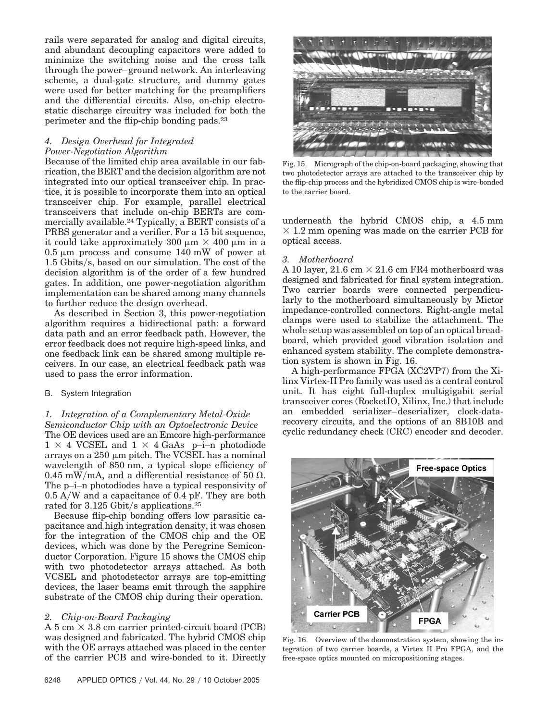rails were separated for analog and digital circuits, and abundant decoupling capacitors were added to minimize the switching noise and the cross talk through the power– ground network. An interleaving scheme, a dual-gate structure, and dummy gates were used for better matching for the preamplifiers and the differential circuits. Also, on-chip electrostatic discharge circuitry was included for both the perimeter and the flip-chip bonding pads.23

# *4. Design Overhead for Integrated Power-Negotiation Algorithm*

Because of the limited chip area available in our fabrication, the BERT and the decision algorithm are not integrated into our optical transceiver chip. In practice, it is possible to incorporate them into an optical transceiver chip. For example, parallel electrical transceivers that include on-chip BERTs are commercially available.24 Typically, a BERT consists of a PRBS generator and a verifier. For a 15 bit sequence, it could take approximately 300  $\mu$ m  $\times$  400  $\mu$ m in a  $0.5 \mu m$  process and consume 140 mW of power at  $1.5$  Gbits/s, based on our simulation. The cost of the decision algorithm is of the order of a few hundred gates. In addition, one power-negotiation algorithm implementation can be shared among many channels to further reduce the design overhead.

As described in Section 3, this power-negotiation algorithm requires a bidirectional path: a forward data path and an error feedback path. However, the error feedback does not require high-speed links, and one feedback link can be shared among multiple receivers. In our case, an electrical feedback path was used to pass the error information.

# B. System Integration

# *1. Integration of a Complementary Metal-Oxide Semiconductor Chip with an Optoelectronic Device* The OE devices used are an Emcore high-performance

 $1 \times 4$  VCSEL and  $1 \times 4$  GaAs p-i-n photodiode arrays on a  $250 \mu m$  pitch. The VCSEL has a nominal wavelength of 850 nm, a typical slope efficiency of 0.45 mW/mA, and a differential resistance of 50  $\Omega$ . The p–i–n photodiodes have a typical responsivity of  $0.5$  A/W and a capacitance of 0.4 pF. They are both rated for  $3.125$  Gbit/s applications.<sup>25</sup>

Because flip-chip bonding offers low parasitic capacitance and high integration density, it was chosen for the integration of the CMOS chip and the OE devices, which was done by the Peregrine Semiconductor Corporation. Figure 15 shows the CMOS chip with two photodetector arrays attached. As both VCSEL and photodetector arrays are top-emitting devices, the laser beams emit through the sapphire substrate of the CMOS chip during their operation.

# *2. Chip-on-Board Packaging*

A 5 cm  $\times$  3.8 cm carrier printed-circuit board (PCB) was designed and fabricated. The hybrid CMOS chip with the OE arrays attached was placed in the center of the carrier PCB and wire-bonded to it. Directly



Fig. 15. Micrograph of the chip-on-board packaging, showing that two photodetector arrays are attached to the transceiver chip by the flip-chip process and the hybridized CMOS chip is wire-bonded to the carrier board.

underneath the hybrid CMOS chip, a 4.5 mm  $\times$  1.2 mm opening was made on the carrier PCB for optical access.

# *3. Motherboard*

A 10 layer,  $21.6 \text{ cm} \times 21.6 \text{ cm}$  FR4 motherboard was designed and fabricated for final system integration. Two carrier boards were connected perpendicularly to the motherboard simultaneously by Mictor impedance-controlled connectors. Right-angle metal clamps were used to stabilize the attachment. The whole setup was assembled on top of an optical breadboard, which provided good vibration isolation and enhanced system stability. The complete demonstration system is shown in Fig. 16.

A high-performance FPGA (XC2VP7) from the Xilinx Virtex-II Pro family was used as a central control unit. It has eight full-duplex multigigabit serial transceiver cores (RocketIO, Xilinx, Inc.) that include an embedded serializer–deserializer, clock-datarecovery circuits, and the options of an 8B10B and cyclic redundancy check (CRC) encoder and decoder.



Fig. 16. Overview of the demonstration system, showing the integration of two carrier boards, a Virtex II Pro FPGA, and the free-space optics mounted on micropositioning stages.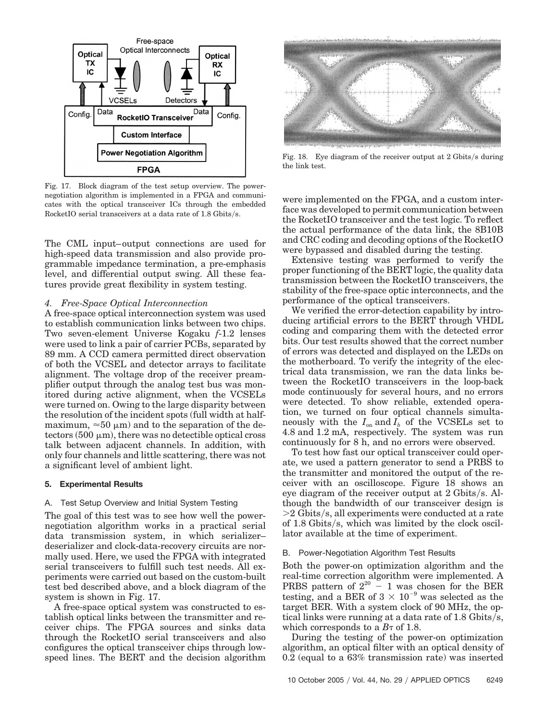

Fig. 17. Block diagram of the test setup overview. The powernegotiation algorithm is implemented in a FPGA and communicates with the optical transceiver ICs through the embedded RocketIO serial transceivers at a data rate of  $1.8$  Gbits/s.

The CML input–output connections are used for high-speed data transmission and also provide programmable impedance termination, a pre-emphasis level, and differential output swing. All these features provide great flexibility in system testing.

## *4. Free-Space Optical Interconnection*

A free-space optical interconnection system was used to establish communication links between two chips. Two seven-element Universe Kogaku *f*-1.2 lenses were used to link a pair of carrier PCBs, separated by 89 mm. A CCD camera permitted direct observation of both the VCSEL and detector arrays to facilitate alignment. The voltage drop of the receiver preamplifier output through the analog test bus was monitored during active alignment, when the VCSELs were turned on. Owing to the large disparity between the resolution of the incident spots (full width at halfmaximum,  $\approx 50 \mu m$ ) and to the separation of the de $tectors (500 \mu m)$ , there was no detectible optical cross talk between adjacent channels. In addition, with only four channels and little scattering, there was not a significant level of ambient light.

#### **5. Experimental Results**

#### A. Test Setup Overview and Initial System Testing

The goal of this test was to see how well the powernegotiation algorithm works in a practical serial data transmission system, in which serializer– deserializer and clock-data-recovery circuits are normally used. Here, we used the FPGA with integrated serial transceivers to fulfill such test needs. All experiments were carried out based on the custom-built test bed described above, and a block diagram of the system is shown in Fig. 17.

A free-space optical system was constructed to establish optical links between the transmitter and receiver chips. The FPGA sources and sinks data through the RocketIO serial transceivers and also configures the optical transceiver chips through lowspeed lines. The BERT and the decision algorithm



Fig. 18. Eye diagram of the receiver output at 2 Gbits/s during the link test.

were implemented on the FPGA, and a custom interface was developed to permit communication between the RocketIO transceiver and the test logic. To reflect the actual performance of the data link, the 8B10B and CRC coding and decoding options of the RocketIO were bypassed and disabled during the testing.

Extensive testing was performed to verify the proper functioning of the BERT logic, the quality data transmission between the RocketIO transceivers, the stability of the free-space optic interconnects, and the performance of the optical transceivers.

We verified the error-detection capability by introducing artificial errors to the BERT through VHDL coding and comparing them with the detected error bits. Our test results showed that the correct number of errors was detected and displayed on the LEDs on the motherboard. To verify the integrity of the electrical data transmission, we ran the data links between the RocketIO transceivers in the loop-back mode continuously for several hours, and no errors were detected. To show reliable, extended operation, we turned on four optical channels simultaneously with the  $I_{\text{on}}$  and  $I_b$  of the VCSELs set to 4.8 and 1.2 mA, respectively. The system was run continuously for 8 h, and no errors were observed.

To test how fast our optical transceiver could operate, we used a pattern generator to send a PRBS to the transmitter and monitored the output of the receiver with an oscilloscope. Figure 18 shows an eye diagram of the receiver output at  $2 \text{ Gbits/s}$ . Although the bandwidth of our transceiver design is  $>$ 2 Gbits/s, all experiments were conducted at a rate of 1.8 Gbits/s, which was limited by the clock oscillator available at the time of experiment.

#### B. Power-Negotiation Algorithm Test Results

Both the power-on optimization algorithm and the real-time correction algorithm were implemented. A PRBS pattern of  $2^{20} - 1$  was chosen for the BER testing, and a BER of  $3 \times 10^{-9}$  was selected as the target BER. With a system clock of 90 MHz, the optical links were running at a data rate of  $1.8 \text{ Gibbs/s}$ , which corresponds to a  $B<sub>\tau</sub>$  of 1.8.

During the testing of the power-on optimization algorithm, an optical filter with an optical density of 0.2 (equal to a 63% transmission rate) was inserted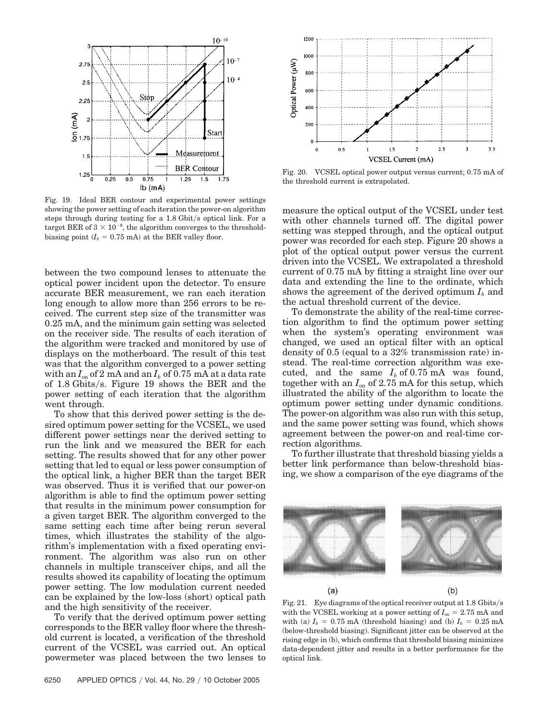

Fig. 19. Ideal BER contour and experimental power settings showing the power setting of each iteration the power-on algorithm steps through during testing for a  $1.8$  Gbit/s optical link. For a target BER of  $3 \times 10^{-9}$ , the algorithm converges to the thresholdbiasing point  $(I_b = 0.75 \text{ mA})$  at the BER valley floor.

between the two compound lenses to attenuate the optical power incident upon the detector. To ensure accurate BER measurement, we ran each iteration long enough to allow more than 256 errors to be received. The current step size of the transmitter was 0.25 mA, and the minimum gain setting was selected on the receiver side. The results of each iteration of the algorithm were tracked and monitored by use of displays on the motherboard. The result of this test was that the algorithm converged to a power setting with an  $I_{on}$  of 2 mA and an  $I_b$  of 0.75 mA at a data rate of 1.8 Gbits/s. Figure 19 shows the BER and the power setting of each iteration that the algorithm went through.

To show that this derived power setting is the desired optimum power setting for the VCSEL, we used different power settings near the derived setting to run the link and we measured the BER for each setting. The results showed that for any other power setting that led to equal or less power consumption of the optical link, a higher BER than the target BER was observed. Thus it is verified that our power-on algorithm is able to find the optimum power setting that results in the minimum power consumption for a given target BER. The algorithm converged to the same setting each time after being rerun several times, which illustrates the stability of the algorithm's implementation with a fixed operating environment. The algorithm was also run on other channels in multiple transceiver chips, and all the results showed its capability of locating the optimum power setting. The low modulation current needed can be explained by the low-loss (short) optical path and the high sensitivity of the receiver.

To verify that the derived optimum power setting corresponds to the BER valley floor where the threshold current is located, a verification of the threshold current of the VCSEL was carried out. An optical powermeter was placed between the two lenses to



Fig. 20. VCSEL optical power output versus current; 0.75 mA of the threshold current is extrapolated.

measure the optical output of the VCSEL under test with other channels turned off. The digital power setting was stepped through, and the optical output power was recorded for each step. Figure 20 shows a plot of the optical output power versus the current driven into the VCSEL. We extrapolated a threshold current of 0.75 mA by fitting a straight line over our data and extending the line to the ordinate, which shows the agreement of the derived optimum  $I<sub>b</sub>$  and the actual threshold current of the device.

To demonstrate the ability of the real-time correction algorithm to find the optimum power setting when the system's operating environment was changed, we used an optical filter with an optical density of 0.5 (equal to a 32% transmission rate) instead. The real-time correction algorithm was executed, and the same  $I_b$  of 0.75 mA was found, together with an  $I_{on}$  of 2.75 mA for this setup, which illustrated the ability of the algorithm to locate the optimum power setting under dynamic conditions. The power-on algorithm was also run with this setup, and the same power setting was found, which shows agreement between the power-on and real-time correction algorithms.

To further illustrate that threshold biasing yields a better link performance than below-threshold biasing, we show a comparison of the eye diagrams of the



Fig. 21. Eye diagrams of the optical receiver output at  $1.8 \text{ Gibbs/s}$ with the VCSEL working at a power setting of  $I_{on} = 2.75$  mA and with (a)  $I_b = 0.75$  mA (threshold biasing) and (b)  $I_b = 0.25$  mA (below-threshold biasing). Significant jitter can be observed at the rising edge in (b), which confirms that threshold biasing minimizes data-dependent jitter and results in a better performance for the optical link.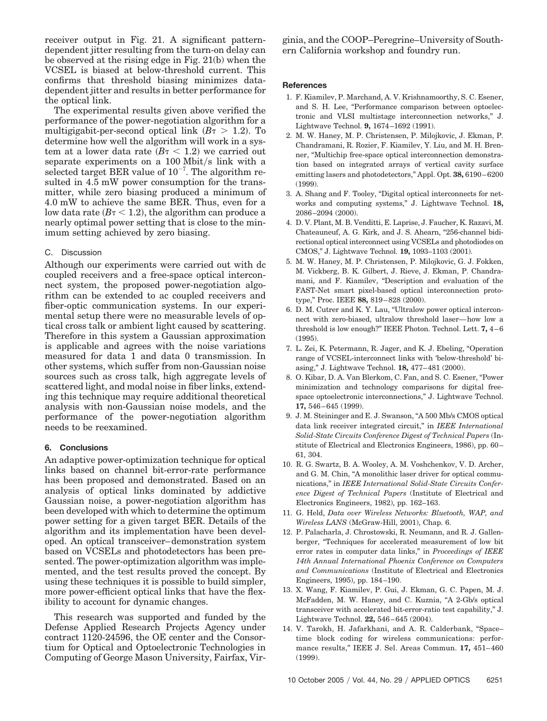receiver output in Fig. 21. A significant patterndependent jitter resulting from the turn-on delay can be observed at the rising edge in Fig. 21(b) when the VCSEL is biased at below-threshold current. This confirms that threshold biasing minimizes datadependent jitter and results in better performance for the optical link.

The experimental results given above verified the performance of the power-negotiation algorithm for a multigigabit-per-second optical link  $(B\tau > 1.2)$ . To determine how well the algorithm will work in a system at a lower data rate  $(B\tau < 1.2)$  we carried out separate experiments on a  $100$  Mbit/s link with a selected target BER value of  $10^{-7}$ . The algorithm resulted in 4.5 mW power consumption for the transmitter, while zero biasing produced a minimum of 4.0 mW to achieve the same BER. Thus, even for a low data rate  $(B\tau < 1.2)$ , the algorithm can produce a nearly optimal power setting that is close to the minimum setting achieved by zero biasing.

# C. Discussion

Although our experiments were carried out with dc coupled receivers and a free-space optical interconnect system, the proposed power-negotiation algorithm can be extended to ac coupled receivers and fiber-optic communication systems. In our experimental setup there were no measurable levels of optical cross talk or ambient light caused by scattering. Therefore in this system a Gaussian approximation is applicable and agrees with the noise variations measured for data 1 and data 0 transmission. In other systems, which suffer from non-Gaussian noise sources such as cross talk, high aggregate levels of scattered light, and modal noise in fiber links, extending this technique may require additional theoretical analysis with non-Gaussian noise models, and the performance of the power-negotiation algorithm needs to be reexamined.

#### **6. Conclusions**

An adaptive power-optimization technique for optical links based on channel bit-error-rate performance has been proposed and demonstrated. Based on an analysis of optical links dominated by addictive Gaussian noise, a power-negotiation algorithm has been developed with which to determine the optimum power setting for a given target BER. Details of the algorithm and its implementation have been developed. An optical transceiver–demonstration system based on VCSELs and photodetectors has been presented. The power-optimization algorithm was implemented, and the test results proved the concept. By using these techniques it is possible to build simpler, more power-efficient optical links that have the flexibility to account for dynamic changes.

This research was supported and funded by the Defense Applied Research Projects Agency under contract 1120-24596, the OE center and the Consortium for Optical and Optoelectronic Technologies in Computing of George Mason University, Fairfax, Virginia, and the COOP–Peregrine–University of Southern California workshop and foundry run.

## **References**

- 1. F. Kiamilev, P. Marchand, A. V. Krishnamoorthy, S. C. Esener, and S. H. Lee, "Performance comparison between optoelectronic and VLSI multistage interconnection networks," J. Lightwave Technol. **9,** 1674 –1692 (1991).
- 2. M. W. Haney, M. P. Christensen, P. Milojkovic, J. Ekman, P. Chandramani, R. Rozier, F. Kiamilev, Y. Liu, and M. H. Brenner, "Multichip free-space optical interconnection demonstration based on integrated arrays of vertical cavity surface emitting lasers and photodetectors," Appl. Opt. **38,** 6190 – 6200 (1999).
- 3. A. Shang and F. Tooley, "Digital optical interconnects for networks and computing systems," J. Lightwave Technol. **18,** 2086 –2094 (2000).
- 4. D. V. Plant, M. B. Venditti, E. Laprise, J. Faucher, K. Razavi, M. Chateauneuf, A. G. Kirk, and J. S. Ahearn, "256-channel bidirectional optical interconnect using VCSELs and photodiodes on CMOS," J. Lightwave Technol. **19,** 1093–1103 (2001).
- 5. M. W. Haney, M. P. Christensen, P. Milojkovic, G. J. Fokken, M. Vickberg, B. K. Gilbert, J. Rieve, J. Ekman, P. Chandramani, and F. Kiamilev, "Description and evaluation of the FAST-Net smart pixel-based optical interconnection prototype," Proc. IEEE **88,** 819 – 828 (2000).
- 6. D. M. Cutrer and K. Y. Lau, "Ultralow power optical interconnect with zero-biased, ultralow threshold laser—how low a threshold is low enough?" IEEE Photon. Technol. Lett. **7,** 4–6 (1995).
- 7. L. Zei, K. Petermann, R. Jager, and K. J. Ebeling, "Operation range of VCSEL-interconnect links with 'below-threshold' biasing," J. Lightwave Technol. **18,** 477– 481 (2000).
- 8. O. Kibar, D. A. Van Blerkom, C. Fan, and S. C. Esener, "Power minimization and technology comparisons for digital freespace optoelectronic interconnections," J. Lightwave Technol. **17,** 546 – 645 (1999).
- 9. J. M. Steininger and E. J. Swanson, "A 500 Mb/s CMOS optical data link receiver integrated circuit," in *IEEE International Solid-State Circuits Conference Digest of Technical Papers* (Institute of Electrical and Electronics Engineers, 1986), pp. 60 – 61, 304.
- 10. R. G. Swartz, B. A. Wooley, A. M. Voshchenkov, V. D. Archer, and G. M. Chin, "A monolithic laser driver for optical communications," in *IEEE International Solid-State Circuits Conference Digest of Technical Papers* (Institute of Electrical and Electronics Engineers, 1982), pp. 162–163.
- 11. G. Held, *Data over Wireless Networks: Bluetooth, WAP, and Wireless LANS* (McGraw-Hill, 2001), Chap. 6.
- 12. P. Palacharla, J. Chrostowski, R. Neumann, and R. J. Gallenberger, "Techniques for accelerated measurement of low bit error rates in computer data links," in *Proceedings of IEEE 14th Annual International Phoenix Conference on Computers and Communications* (Institute of Electrical and Electronics Engineers, 1995), pp. 184 –190.
- 13. X. Wang, F. Kiamilev, P. Gui, J. Ekman, G. C. Papen, M. J. McFadden, M. W. Haney, and C. Kuznia, "A 2-Gb/s optical transceiver with accelerated bit-error-ratio test capability," J. Lightwave Technol. **22,** 546 – 645 (2004).
- 14. V. Tarokh, H. Jafarkhani, and A. R. Calderbank, "Space– time block coding for wireless communications: performance results," IEEE J. Sel. Areas Commun. **17,** 451– 460 (1999).